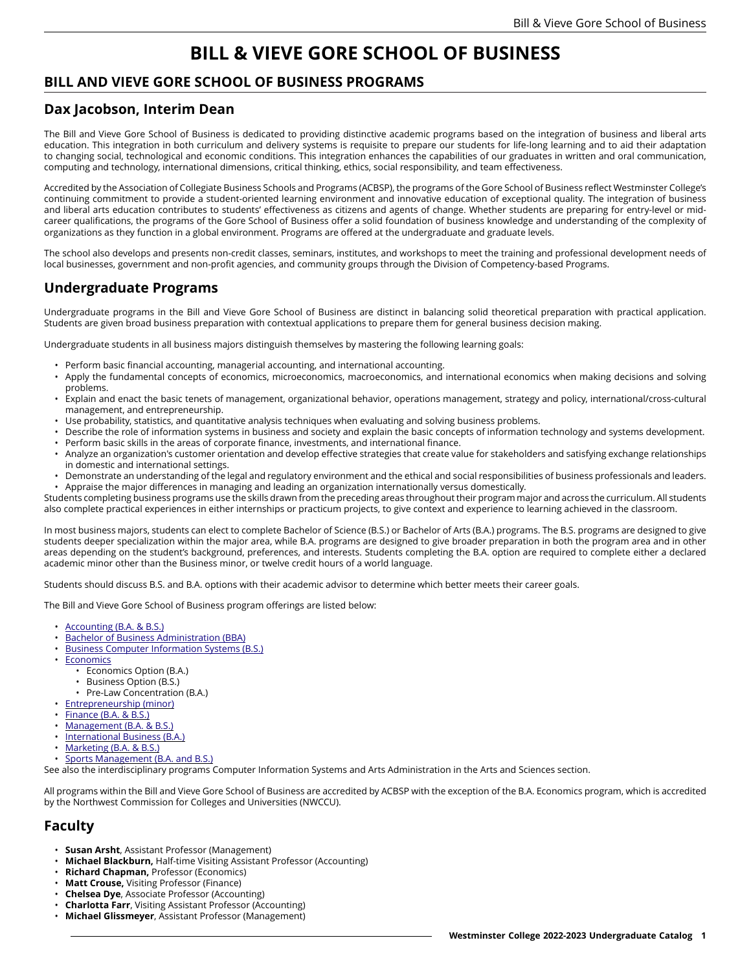# **BILL & VIEVE GORE SCHOOL OF BUSINESS**

## **BILL AND VIEVE GORE SCHOOL OF BUSINESS PROGRAMS**

#### **Dax Jacobson, Interim Dean**

The Bill and Vieve Gore School of Business is dedicated to providing distinctive academic programs based on the integration of business and liberal arts education. This integration in both curriculum and delivery systems is requisite to prepare our students for life-long learning and to aid their adaptation to changing social, technological and economic conditions. This integration enhances the capabilities of our graduates in written and oral communication, computing and technology, international dimensions, critical thinking, ethics, social responsibility, and team effectiveness.

Accredited by the Association of Collegiate Business Schools and Programs (ACBSP), the programs of the Gore School of Business reflect Westminster College's continuing commitment to provide a student-oriented learning environment and innovative education of exceptional quality. The integration of business and liberal arts education contributes to students' effectiveness as citizens and agents of change. Whether students are preparing for entry-level or midcareer qualifications, the programs of the Gore School of Business offer a solid foundation of business knowledge and understanding of the complexity of organizations as they function in a global environment. Programs are offered at the undergraduate and graduate levels.

The school also develops and presents non-credit classes, seminars, institutes, and workshops to meet the training and professional development needs of local businesses, government and non-profit agencies, and community groups through the Division of Competency-based Programs.

# **Undergraduate Programs**

Undergraduate programs in the Bill and Vieve Gore School of Business are distinct in balancing solid theoretical preparation with practical application. Students are given broad business preparation with contextual applications to prepare them for general business decision making.

Undergraduate students in all business majors distinguish themselves by mastering the following learning goals:

- Perform basic financial accounting, managerial accounting, and international accounting.
- Apply the fundamental concepts of economics, microeconomics, macroeconomics, and international economics when making decisions and solving problems.
- Explain and enact the basic tenets of management, organizational behavior, operations management, strategy and policy, international/cross-cultural management, and entrepreneurship.
- Use probability, statistics, and quantitative analysis techniques when evaluating and solving business problems.
- Describe the role of information systems in business and society and explain the basic concepts of information technology and systems development.
- Perform basic skills in the areas of corporate finance, investments, and international finance. • Analyze an organization's customer orientation and develop effective strategies that create value for stakeholders and satisfying exchange relationships in domestic and international settings.
- Demonstrate an understanding of the legal and regulatory environment and the ethical and social responsibilities of business professionals and leaders. • Appraise the major differences in managing and leading an organization internationally versus domestically.

Students completing business programs use the skills drawn from the preceding areas throughout their program major and across the curriculum. All students also complete practical experiences in either internships or practicum projects, to give context and experience to learning achieved in the classroom.

In most business majors, students can elect to complete Bachelor of Science (B.S.) or Bachelor of Arts (B.A.) programs. The B.S. programs are designed to give students deeper specialization within the major area, while B.A. programs are designed to give broader preparation in both the program area and in other areas depending on the student's background, preferences, and interests. Students completing the B.A. option are required to complete either a declared academic minor other than the Business minor, or twelve credit hours of a world language.

Students should discuss B.S. and B.A. options with their academic advisor to determine which better meets their career goals.

The Bill and Vieve Gore School of Business program offerings are listed below:

- [Accounting](https://catalog.westminstercollege.edu/current/undergraduate/programs/business/accounting.html) (B.A. & B.S.)
- Bachelor of Business [Administration](https://catalog.westminstercollege.edu/current/undergraduate/programs/business/bachelor-of-business-administration.html) (BBA)
- Business Computer [Information](https://catalog.westminstercollege.edu/current/undergraduate/programs/business/business-computer-information-systems.html) Systems (B.S.)
- [Economics](https://catalog.westminstercollege.edu/current/undergraduate/programs/business/economics.html)
	- Economics Option (B.A.)
	- Business Option (B.S.)
	- Pre-Law Concentration (B.A.)
- [Entrepreneurship](https://catalog.westminstercollege.edu/current/undergraduate/programs/business/entrepreneurship-minor.html) (minor)
- [Finance](https://catalog.westminstercollege.edu/current/undergraduate/programs/business/finance.html) (B.A. & B.S.)
- [Management](https://catalog.westminstercollege.edu/current/undergraduate/programs/business/management.html) (B.A. & B.S.)
- [International](https://catalog.westminstercollege.edu/current/undergraduate/programs/business/international-business.html) Business (B.A.)
- [Marketing](https://catalog.westminstercollege.edu/current/undergraduate/programs/business/marketing.html) (B.A. & B.S.)
- Sports [Management](https://catalog.westminstercollege.edu/current/undergraduate/programs/business/sports-management.html) (B.A. and B.S.)

See also the interdisciplinary programs Computer Information Systems and Arts Administration in the Arts and Sciences section.

All programs within the Bill and Vieve Gore School of Business are accredited by ACBSP with the exception of the B.A. Economics program, which is accredited by the Northwest Commission for Colleges and Universities (NWCCU).

### **Faculty**

- **Susan Arsht**, Assistant Professor (Management)
- **Michael Blackburn,** Half-time Visiting Assistant Professor (Accounting)
- **Richard Chapman,** Professor (Economics)
- **Matt Crouse,** Visiting Professor (Finance)
- **Chelsea Dye**, Associate Professor (Accounting)
- **Charlotta Farr**, Visiting Assistant Professor (Accounting)
- **Michael Glissmeyer**, Assistant Professor (Management)